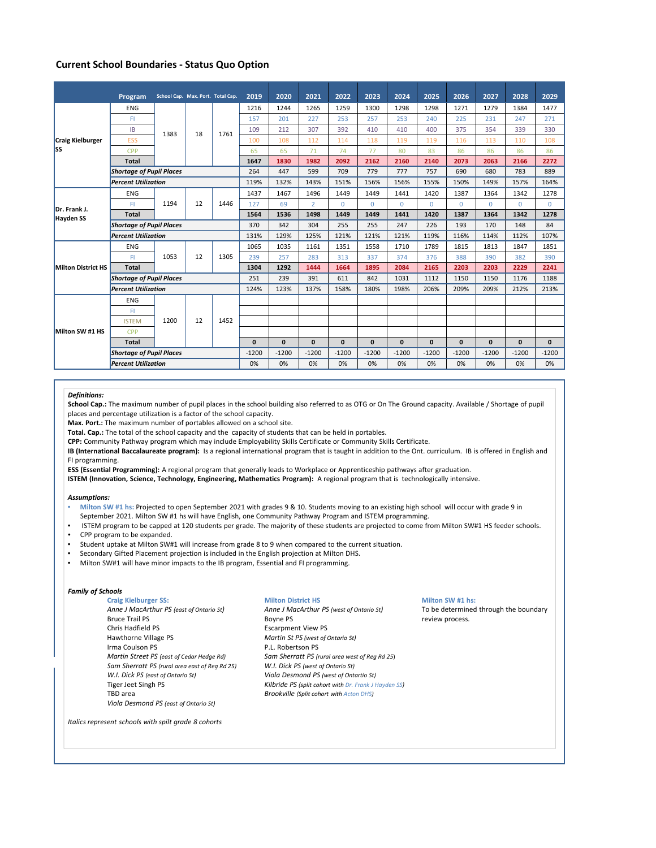# **Current School Boundaries ‐ Status Quo Option**

|                                  | Program                         | School Cap. Max. Port. Total Cap. |    |      | 2019         | 2020         | 2021           | 2022         | 2023         | 2024         | 2025         | 2026         | 2027         | 2028         | 2029         |
|----------------------------------|---------------------------------|-----------------------------------|----|------|--------------|--------------|----------------|--------------|--------------|--------------|--------------|--------------|--------------|--------------|--------------|
| <b>Craig Kielburger</b><br>lss   | <b>ENG</b>                      | 1383                              | 18 | 1761 | 1216         | 1244         | 1265           | 1259         | 1300         | 1298         | 1298         | 1271         | 1279         | 1384         | 1477         |
|                                  | FI.                             |                                   |    |      | 157          | 201          | 227            | 253          | 257          | 253          | 240          | 225          | 231          | 247          | 271          |
|                                  | <b>IB</b>                       |                                   |    |      | 109          | 212          | 307            | 392          | 410          | 410          | 400          | 375          | 354          | 339          | 330          |
|                                  | <b>ESS</b>                      |                                   |    |      | 100          | 108          | 112            | 114          | 118          | 119          | 119          | 116          | 113          | 110          | 108          |
|                                  | CPP                             |                                   |    |      | 65           | 65           | 71             | 74           | 77           | 80           | 83           | 86           | 86           | 86           | 86           |
|                                  | <b>Total</b>                    |                                   |    |      | 1647         | 1830         | 1982           | 2092         | 2162         | 2160         | 2140         | 2073         | 2063         | 2166         | 2272         |
|                                  | <b>Shortage of Pupil Places</b> |                                   |    |      | 264          | 447          | 599            | 709          | 779          | 777          | 757          | 690          | 680          | 783          | 889          |
|                                  | <b>Percent Utilization</b>      |                                   |    |      | 119%         | 132%         | 143%           | 151%         | 156%         | 156%         | 155%         | 150%         | 149%         | 157%         | 164%         |
| Dr. Frank J.<br><b>Hayden SS</b> | <b>ENG</b>                      | 1194                              | 12 | 1446 | 1437         | 1467         | 1496           | 1449         | 1449         | 1441         | 1420         | 1387         | 1364         | 1342         | 1278         |
|                                  | FI.                             |                                   |    |      | 127          | 69           | $\overline{2}$ | $\mathbf{0}$ | $\Omega$     | $\Omega$     | $\Omega$     | $\Omega$     | $\Omega$     | $\Omega$     | $\mathbf 0$  |
|                                  | <b>Total</b>                    |                                   |    |      | 1564         | 1536         | 1498           | 1449         | 1449         | 1441         | 1420         | 1387         | 1364         | 1342         | 1278         |
|                                  | <b>Shortage of Pupil Places</b> |                                   |    |      | 370          | 342          | 304            | 255          | 255          | 247          | 226          | 193          | 170          | 148          | 84           |
|                                  | <b>Percent Utilization</b>      |                                   |    |      | 131%         | 129%         | 125%           | 121%         | 121%         | 121%         | 119%         | 116%         | 114%         | 112%         | 107%         |
| <b>Milton District HS</b>        | <b>ENG</b>                      | 1053                              | 12 | 1305 | 1065         | 1035         | 1161           | 1351         | 1558         | 1710         | 1789         | 1815         | 1813         | 1847         | 1851         |
|                                  | FL.                             |                                   |    |      | 239          | 257          | 283            | 313          | 337          | 374          | 376          | 388          | 390          | 382          | 390          |
|                                  | <b>Total</b>                    |                                   |    |      | 1304         | 1292         | 1444           | 1664         | 1895         | 2084         | 2165         | 2203         | 2203         | 2229         | 2241         |
|                                  | <b>Shortage of Pupil Places</b> |                                   |    |      | 251          | 239          | 391            | 611          | 842          | 1031         | 1112         | 1150         | 1150         | 1176         | 1188         |
|                                  | <b>Percent Utilization</b>      |                                   |    |      | 124%         | 123%         | 137%           | 158%         | 180%         | 198%         | 206%         | 209%         | 209%         | 212%         | 213%         |
| Milton SW #1 HS                  | <b>ENG</b>                      | 1200                              | 12 | 1452 |              |              |                |              |              |              |              |              |              |              |              |
|                                  | FI.                             |                                   |    |      |              |              |                |              |              |              |              |              |              |              |              |
|                                  | <b>ISTEM</b>                    |                                   |    |      |              |              |                |              |              |              |              |              |              |              |              |
|                                  | CPP                             |                                   |    |      |              |              |                |              |              |              |              |              |              |              |              |
|                                  | <b>Total</b>                    |                                   |    |      | $\mathbf{0}$ | $\mathbf{0}$ | $\mathbf{0}$   | $\mathbf{0}$ | $\mathbf{0}$ | $\mathbf{0}$ | $\mathbf{0}$ | $\mathbf{0}$ | $\mathbf{0}$ | $\mathbf{0}$ | $\mathbf{0}$ |
|                                  | <b>Shortage of Pupil Places</b> |                                   |    |      | $-1200$      | $-1200$      | $-1200$        | $-1200$      | $-1200$      | $-1200$      | $-1200$      | $-1200$      | $-1200$      | $-1200$      | $-1200$      |
|                                  | <b>Percent Utilization</b>      |                                   |    |      | 0%           | 0%           | 0%             | 0%           | 0%           | 0%           | 0%           | 0%           | 0%           | 0%           | 0%           |

## *Definitions:*

**School Cap.:** The maximum number of pupil places in the school building also referred to as OTG or On The Ground capacity. Available / Shortage of pupil places and percentage utilization is a factor of the school capacity.

**Max. Port.:** The maximum number of portables allowed on a school site.

**Total. Cap.:** The total of the school capacity and the capacity of students that can be held in portables.

**CPP:** Community Pathway program which may include Employability Skills Certificate or Community Skills Certificate.

**IB (International Baccalaureate program):** Is a regional international program that is taught in addition to the Ont. curriculum. IB is offered in English and FI programming.

**ESS (Essential Programming):** A regional program that generally leads to Workplace or Apprenticeship pathways after graduation.

**ISTEM (Innovation, Science, Technology, Engineering, Mathematics Program):** A regional program that is technologically intensive.

### *Assumptions:*

- **Milton SW #1 hs:** Projected to open September 2021 with grades 9 & 10. Students moving to an existing high school will occur with grade 9 in September 2021. Milton SW #1 hs will have English, one Community Pathway Program and ISTEM programming.
- ISTEM program to be capped at 120 students per grade. The majority of these students are projected to come from Milton SW#1 HS feeder schools. • CPP program to be expanded.
- 
- Student uptake at Milton SW#1 will increase from grade 8 to 9 when compared to the current situation.
- Secondary Gifted Placement projection is included in the English projection at Milton DHS.
- Milton SW#1 will have minor impacts to the IB program, Essential and FI programming.

## *Family of Schools*

**Craig Kielburger SS: Milton District HS Milton SW #1 hs:** Anne J MacArthur PS (east of Ontario St) Anne J MacArthur PS (west of Ontario St) To be determined through the boundary<br>Bruce Trail PS express. Boyne PS by Boyne PS review process. Hawthorne Village PS *Martin St PS (west of Ontario St)* Irma Coulson PS<br>
Martin Street PS (east of Cedar Hedge Rd) Sam Sherratt PS (r. *Sam Sherratt PS (rural area east of Reg Rd 25) W.I. Dick PS (west of Ontario St) W.I. Dick PS (east of Ontario St) Viola Desmond PS (west of Ontartio St)* TBD area *Brookville (Split cohort with Acton DHS) Viola Desmond PS (east of Ontario St)*

Bruce Trail PS review process.<br>
Solution of the Boyne PS review process.<br>
Escarpment View PS results and the review process. Escarpment View PS *Martin Street PS (east of Cedar Hedge Rd) Sam Sherratt PS (rural area west of Reg Rd 25*) *Kilbride PS (split cohort with Dr. Frank J Hayden SS)* 

*Italics represent schools with spilt grade 8 cohorts*